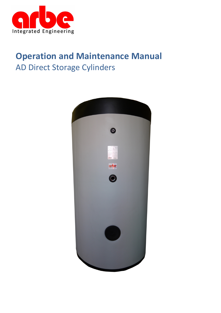

# **Operation and Maintenance Manual** AD Direct Storage Cylinders

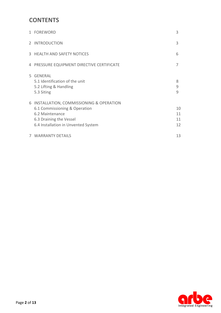## **CONTENTS**

|   | 1 FOREWORD                                                                                                                                                    | 3                    |
|---|---------------------------------------------------------------------------------------------------------------------------------------------------------------|----------------------|
|   | 2 INTRODUCTION                                                                                                                                                | 3                    |
|   | 3 HEALTH AND SAFETY NOTICES                                                                                                                                   | 6                    |
|   | 4 PRESSURE EQUIPMENT DIRECTIVE CERTIFICATE                                                                                                                    | 7                    |
|   | 5 GENERAL<br>5.1 Identification of the unit<br>5.2 Lifting & Handling<br>5.3 Siting                                                                           | 8<br>9<br>9          |
| 6 | INSTALLATION, COMMISSIONING & OPERATION<br>6.1 Commissioning & Operation<br>6.2 Maintenance<br>6.3 Draining the Vessel<br>6.4 Installation in Unvented System | 10<br>11<br>11<br>12 |
|   | 7 WARRANTY DETAILS                                                                                                                                            | 13                   |

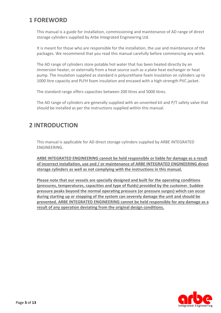# **1 FOREWORD**

This manual is a guide for installation, commissioning and maintenance of AD range of direct storage cylinders supplied by Arbe Integrated Engineering Ltd.

It is meant for those who are responsible for the installation, the use and maintenance of the packages. We recommend that you read this manual carefully before commencing any work.

The AD range of cylinders store potable hot water that has been heated directly by an immersion heater, or externally from a heat source such as a plate heat exchanger or heat pump. The insulation supplied as standard is polyurethane foam insulation on cylinders up to 1000 litre capacity and PLFH foam insulation and encased with a high-strength PVC jacket.

The standard range offers capacities between 200 litres and 5000 litres.

The AD range of cylinders are generally supplied with an unvented kit and P/T safety valve that should be installed as per the instructions supplied within this manual.

### **2 INTRODUCTION**

This manual is applicable for AD direct storage cylinders supplied by ARBE INTEGRATED ENGINEERING.

**ARBE INTEGRATED ENGINEERING cannot be held responsible or liable for damage as a result of incorrect installation, use and / or maintenance of ARBE INTEGRATED ENGINEERING direct storage cylinders as well as not complying with the instructions in this manual.** 

**Please note that our vessels are specially designed and built for the operating conditions (pressures, temperatures, capacities and type of fluids) provided by the customer. Sudden pressure peaks beyond the normal operating pressure (or pressure surges) which can occur during starting up or stopping of the system can severely damage the unit and should be prevented. ARBE INTEGRATED ENGINEERING cannot be held responsible for any damage as a result of any operation deviating from the original design conditions.**

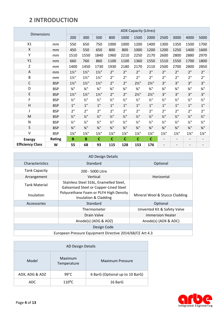# **2 INTRODUCTION**

| <b>Dimensions</b>       |            | <b>ADX Capacity (Litres)</b> |                             |                             |                             |                             |                             |                             |                              |                             |                             |                             |
|-------------------------|------------|------------------------------|-----------------------------|-----------------------------|-----------------------------|-----------------------------|-----------------------------|-----------------------------|------------------------------|-----------------------------|-----------------------------|-----------------------------|
|                         |            | 200                          | 300                         | 500                         | 800                         | 1000                        | 1500                        | 2000                        | 2500                         | 3000                        | 4000                        | 5000                        |
| X1                      | mm         | 550                          | 650                         | 750                         | 1000                        | 1000                        | 1200                        | 1400                        | 1300                         | 1350                        | 1500                        | 1700                        |
| X                       | mm         | 450                          | 550                         | 650                         | 800                         | 800                         | 1000                        | 1200                        | 1200                         | 1250                        | 1400                        | 1600                        |
| Υ                       | mm         | 1510                         | 1550                        | 1840                        | 1960                        | 2210                        | 2250                        | 2170                        | 2600                         | 2800                        | 2880                        | 2970                        |
| Y1                      | mm         | 660                          | 760                         | 860                         | 1100                        | 1100                        | 1360                        | 1550                        | 1510                         | 1550                        | 1700                        | 1800                        |
| Z                       | mm         | 1400                         | 1450                        | 1730                        | 1930                        | 2180                        | 2170                        | 2110                        | 2500                         | 2700                        | 2800                        | 2850                        |
| Α                       | mm         | $1\frac{1}{2}$ "             | $1\frac{1}{2}$ "            | $1\frac{1}{2}$ "            | 2"                          | 2"                          | 2"                          | 2"                          | 2"                           | 2"                          | 2"                          | 2"                          |
| B                       | mm         | $1\frac{1}{2}$ "             | $1\frac{1}{2}$ "            | $1\frac{1}{2}$ "            | 2"                          | 2"                          | 2"                          | 2"                          | 2"                           | 2"                          | 2"                          | 2"                          |
| $\mathsf C$             | <b>BSP</b> | $1\frac{1}{2}$ "             | $1\frac{1}{2}$ "            | $1\frac{1}{2}$ "            | 2"                          | 2"                          | $2\frac{1}{2}$ "            | $2\frac{1}{2}$ "            | 3"                           | 3"                          | 3"                          | 3"                          |
| D                       | <b>BSP</b> | $\frac{3}{4}$ <sup>11</sup>  | $\frac{3}{4}$ <sup>11</sup> | $\frac{3}{4}$ "             | $\frac{3}{4}$ <sup>11</sup> | $\frac{3}{4}$ <sup>11</sup> | $\frac{3}{4}$ <sup>11</sup> | $\frac{3}{4}$ "             | $\frac{3}{4}$ <sup>11</sup>  | $\frac{3}{4}$ "             | $\frac{3}{4}$ <sup>11</sup> | $\frac{3}{4}$ "             |
| E                       | <b>BSP</b> | $1\frac{1}{2}$ "             | $1\frac{1}{2}$              | $1\frac{1}{2}$ "            | 2"                          | 2"                          | $2\frac{1}{2}$ "            | $2\frac{1}{2}$ "            | 3"                           | 3"                          | 3"                          | 3"                          |
| F                       | <b>BSP</b> | $\frac{1}{2}$ "              | $1/2$ <sup>11</sup>         | $1/2$ <sup>11</sup>         | $\frac{1}{2}$               | $\frac{1}{2}$ "             | $\frac{1}{2}$ "             | $\frac{1}{2}$ "             | $\frac{1}{2}$                | $\frac{1}{2}$ "             | $\frac{1}{2}$ "             | $1/2$ <sup>11</sup>         |
| $\mathsf{H}$            | <b>BSP</b> | 1"                           | 1"                          | 1"                          | 1"                          | 1"                          | 1"                          | 1"                          | 1"                           | 1"                          | 1"                          | $1"$                        |
| J                       | <b>BSP</b> | 2"                           | 2"                          | 2"                          | 2"                          | 2"                          | 2"                          | 2"                          | 2"                           | 2"                          | 2"                          | 2"                          |
| M                       | <b>BSP</b> | $1/2$ "                      | $1/2$ <sup>11</sup>         | $1/2$ <sup>11</sup>         | $1/2$ <sup>11</sup>         | $1/2$ "                     | $\frac{1}{2}$ <sup>11</sup> | $\frac{1}{2}$ "             | $\frac{1}{2}$ "              | $1/2$ "                     | $1/2$ "                     | $\frac{1}{2}$ "             |
| N                       | <b>BSP</b> | $\frac{1}{2}$ "              | $1/2$ <sup>11</sup>         | $\frac{1}{2}$ "             | $\frac{1}{2}$ "             | $\frac{1}{2}$ "             | $\frac{1}{2}$ "             | $\frac{1}{2}$ "             | $\frac{1}{2}$                | $\frac{1}{2}$ "             | $1/2$ <sup>11</sup>         | $1/2$ <sup>11</sup>         |
| S                       | <b>BSP</b> | $\frac{3}{4}$ <sup>11</sup>  | $\frac{3}{4}$ <sup>11</sup> | $\frac{3}{4}$ <sup>11</sup> | $\frac{3}{4}$ <sup>11</sup> | $\frac{3}{4}$ <sup>11</sup> | $\frac{3}{4}$ <sup>11</sup> | $\frac{3}{4}$ <sup>11</sup> | $\frac{3}{4}$ "              | $\frac{3}{4}$ <sup>11</sup> | $\frac{3}{4}$ <sup>11</sup> | $\frac{3}{4}$ <sup>11</sup> |
| $\vee$                  | <b>BSP</b> | $1\frac{1}{4}$ "             | $1\frac{1}{4}$ "            | $1\frac{1}{4}$ "            | $1\frac{1}{4}$ "            | $1\frac{1}{4}$ "            | $1\frac{1}{4}$ "            | $1\frac{1}{4}$ "            | $1\frac{1}{4}$ "             | $1\frac{1}{4}$ "            | $1\frac{1}{4}$ "            | $1\frac{1}{4}$ "            |
| <b>Energy</b>           | Rating     | B                            | B                           | $\mathbf C$                 | $\mathbf{C}$                | $\mathbf c$                 | $\mathbf c$                 | $\mathbf c$                 | $\blacksquare$               | $\blacksquare$              | $\overline{\phantom{0}}$    | $\overline{\phantom{0}}$    |
| <b>Efficiency Class</b> | W          | 55                           | 68                          | 93                          | 115                         | 128                         | 153                         | 176                         | $\qquad \qquad \blacksquare$ |                             |                             |                             |

| AD Design Details                                        |                                                                                  |                                |  |  |  |
|----------------------------------------------------------|----------------------------------------------------------------------------------|--------------------------------|--|--|--|
| Characteristics                                          | Standard                                                                         | Optional                       |  |  |  |
| <b>Tank Capacity</b>                                     | 200 - 5000 Litre                                                                 |                                |  |  |  |
| Arrangement                                              | Vertical                                                                         | Horizontal                     |  |  |  |
| <b>Tank Material</b>                                     | Stainless Steel 316L, Enamelled Steel,<br>Galvanised Steel or Copper-Lined Steel |                                |  |  |  |
| Insulation                                               | Polyurethane Foam or PLFH High Density<br>Insulation & Cladding                  | Mineral Wool & Stucco Cladding |  |  |  |
| Accessories                                              | Standard                                                                         | Optional                       |  |  |  |
|                                                          | Thermometer                                                                      | Unvented Kit & Safety Valve    |  |  |  |
|                                                          | Drain Valve                                                                      | <b>Immersion Heater</b>        |  |  |  |
|                                                          | Anode(s) (ADG & ADZ)                                                             | Anode(s) (ADX & ADC)           |  |  |  |
| Design Code                                              |                                                                                  |                                |  |  |  |
| European Pressure Equipment Directive 2014/68/CE Art 4.3 |                                                                                  |                                |  |  |  |

| AD Design Details |                        |                                 |  |  |  |
|-------------------|------------------------|---------------------------------|--|--|--|
| Model             | Maximum<br>Temperature | <b>Maximum Pressure</b>         |  |  |  |
| ADX, ADG & ADZ    | $99^{\circ}$ C         | 6 BarG (Optional up to 10 BarG) |  |  |  |
| ADC.              | $110^{\circ}$ C        | 16 BarG                         |  |  |  |

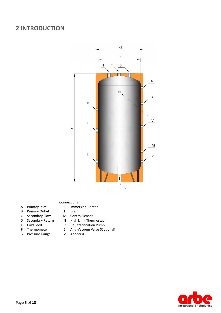### **2 INTRODUCTION**



#### Connections

- A Primary Inlet J Immersion Heater
- B Primary Outlet L Drain
- C Secondary Flow M Control Sensor
- D Secondary Return N High Limit Thermostat
- 
- 
- G Pressure Gauge
- 
- 
- 
- 
- E Cold Feed R De-Stratification Pump<br>F Thermometer S Anti-Vacuum Valve (Op
	- S Anti-Vacuum Valve (Optional)<br>V Anode(s)
	-

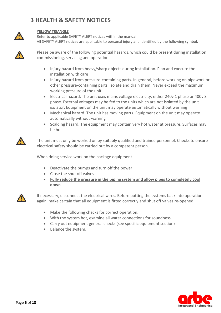# **3 HEALTH & SAFETY NOTICES**



#### **YELLOW TRIANGLE**

Refer to applicable SAFETY ALERT notices within the manual! All SAFETY ALERT notices are applicable to personal injury and identified by the following symbol.



Please be aware of the following potential hazards, which could be present during installation, commissioning, servicing and operation:

- Injury hazard from heavy/sharp objects during installation. Plan and execute the installation with care
- Injury hazard from pressure-containing parts. In general, before working on pipework or other pressure-containing parts, isolate and drain them. Never exceed the maximum working pressure of the unit
- Electrical hazard. The unit uses mains voltage electricity, either 240v 1 phase or 400v 3 phase. External voltages may be fed to the units which are not isolated by the unit isolator. Equipment on the unit may operate automatically without warning
- Mechanical hazard. The unit has moving parts. Equipment on the unit may operate automatically without warning
- Scalding hazard. The equipment may contain very hot water at pressure. Surfaces may be hot



The unit must only be worked on by suitably qualified and trained personnel. Checks to ensure electrical safety should be carried out by a competent person.

When doing service work on the package equipment

- Deactivate the pumps and turn off the power
- Close the shut off valves
- **Fully reduce the pressure in the piping system and allow pipes to completely cool down**



If necessary, disconnect the electrical wires. Before putting the systems back into operation again, make certain that all equipment is fitted correctly and shut off valves re-opened.

- Make the following checks for correct operation.
- With the system hot, examine all water connections for soundness.
- Carry out equipment general checks (see specific equipment section)
- Balance the system.

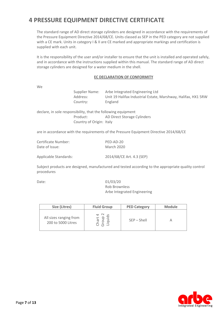## **4 PRESSURE EQUIPMENT DIRECTIVE CERTIFICATE**

The standard range of AD direct storage cylinders are designed in accordance with the requirements of the Pressure Equipment Directive 2014/68/CE. Units classed as SEP in the PED category are not supplied with a CE mark. Units in category I & II are CE marked and appropriate markings and certification is supplied with each unit.

It is the responsibility of the user and/or installer to ensure that the unit is installed and operated safely, and in accordance with the instructions supplied within this manual. The standard range of AD direct storage cylinders are designed for a water medium in the shell.

#### **EC DECLARATION OF CONFORMITY**

We

Supplier Name: Arbe Integrated Engineering Ltd Address: Unit 19 Halifax Industrial Estate, Marshway, Halifax, HX1 5RW Country: England

declare, in sole responsibility, that the following equipment Product: AD Direct Storage Cylinders Country of Origin: Italy

are in accordance with the requirements of the Pressure Equipment Directive 2014/68/CE

| Certificate Number:   | PED-AD-20                 |
|-----------------------|---------------------------|
| Date of Issue:        | <b>March 2020</b>         |
| Applicable Standards: | 2014/68/CE Art. 4.3 (SEP) |

Subject products are designed, manufactured and tested according to the appropriate quality control procedures

Date: 01/03/20 Rob Brownless Arbe Integrated Engineering

| Size (Litres)                                | <b>Fluid Group</b> | <b>PED Category</b> | <b>Module</b> |
|----------------------------------------------|--------------------|---------------------|---------------|
| All sizes ranging from<br>200 to 5000 Litres |                    | $SEP - Shell$       |               |

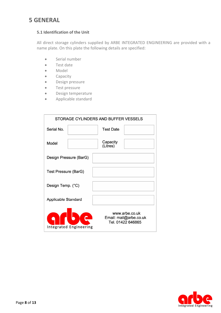### **5 GENERAL**

#### **5.1 Identification of the Unit**

All direct storage cylinders supplied by ARBE INTEGRATED ENGINEERING are provided with a name plate. On this plate the following details are specified:

- **Serial number**
- Test date
- Model
- **•** Capacity
- **•** Design pressure
- **•** Test pressure
- **•** Design temperature
- Applicable standard

| STORAGE CYLINDERS AND BUFFER VESSELS |                                                               |  |  |  |  |
|--------------------------------------|---------------------------------------------------------------|--|--|--|--|
| Serial No.                           | <b>Test Date</b>                                              |  |  |  |  |
| Model                                | Capacity<br>(Litres)                                          |  |  |  |  |
| Design Pressure (BarG)               |                                                               |  |  |  |  |
| <b>Test Pressure (BarG)</b>          |                                                               |  |  |  |  |
| Design Temp. (°C)                    |                                                               |  |  |  |  |
| <b>Applicable Standard</b>           |                                                               |  |  |  |  |
| <b>Integrated Engineering</b>        | www.arbe.co.uk<br>Email: mail@arbe.co.uk<br>Tel. 01422 646865 |  |  |  |  |

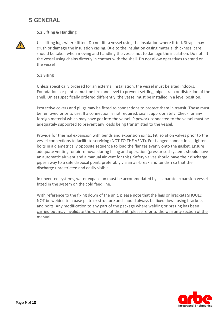### **5 GENERAL**

#### **5.2 Lifting & Handling**



Use lifting lugs where fitted. Do not lift a vessel using the insulation where fitted. Straps may crush or damage the insulation casing. Due to the insulation casing material thickness, care should be taken when moving and handling the vessel not to damage the insulation. Do not lift the vessel using chains directly in contact with the shell. Do not allow operatives to stand on the vessel

#### **5.3 Siting**

Unless specifically ordered for an external installation, the vessel must be sited indoors. Foundations or plinths must be firm and level to prevent settling, pipe strain or distortion of the shell. Unless specifically ordered differently, the vessel must be installed in a level position.

Protective covers and plugs may be fitted to connections to protect them in transit. These must be removed prior to use. If a connection is not required, seal it appropriately. Check for any foreign material which may have got into the vessel. Pipework connected to the vessel must be adequately supported to prevent any loads being transmitted to the vessel.

Provide for thermal expansion with bends and expansion joints. Fit isolation valves prior to the vessel connections to facilitate servicing (NOT TO THE VENT). For flanged connections, tighten bolts in a diametrically opposite sequence to load the flanges evenly onto the gasket. Ensure adequate venting for air removal during filling and operation (pressurised systems should have an automatic air vent and a manual air vent for this). Safety valves should have their discharge pipes away to a safe disposal point, preferably via an air-break and tundish so that the discharge unrestricted and easily visible.

In unvented systems, water expansion must be accommodated by a separate expansion vessel fitted in the system on the cold feed line.

With reference to the fixing down of the unit, please note that the legs or brackets SHOULD NOT be welded to a base plate or structure and should always be fixed down using brackets and bolts. Any modification to any part of the package where welding or brazing has been carried out may invalidate the warranty of the unit (please refer to the warranty section of the manual\_

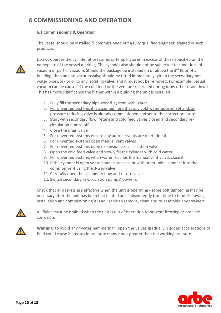### **6 COMMISSIONING AND OPERATION**

#### **6.1 Commissioning & Operation**

The vessel should be installed & commissioned but a fully qualified engineer, trained in such products.



Do not operate the cylinder at pressures or temperatures in excess of those specified on the nameplate of the vessel marking. The cylinder also should not be subjected to conditions of vacuum or partial vacuum. Should the package be installed on or above the 3<sup>rd</sup> floor of a building, then an anti-vacuum valve should be fitted immediately within the secondary hot water pipework prior to any isolating valve, and it must not be removed. For example, partial vacuum can be caused if the cold feed or the vent are restricted during draw off or drain down. This has more significance the higher within a building the unit is installed.

- 1. Fully fill the secondary pipework & system with water
- 2. For unvented systems it is assumed here that any cold water booster set and/or pressure reducing valve is already commissioned and set to the correct pressure
- 3. Start with secondary flow, return and cold feed valves closed and secondary recirculation pumps off
- 4. Close the drain valve
- 5. For unvented systems ensure any auto-air vents are operational
- 6. For unvented systems open manual vent valves
- 7. For unvented systems open expansion vessel isolation valve
- 8. Open the cold feed valve and slowly fill the cylinder with cold water
- 9. For unvented systems when water reaches the manual vent valve, close it
- 10. If the cylinder is open vented and shares a vent with other units, connect it to the common vent using the 3-way valve
- 11. Carefully open the secondary flow and return valves
- 12. Switch secondary re-circulation pumps' power on

Check that all gaskets are effective when the unit is operating - some bolt tightening may be necessary after the unit has been first heated and subsequently from time to time. Following installation and commissioning it is advisable to remove, clean and re-assemble any strainers.



All fluids must be drained when the unit is out of operation to prevent freezing or possible corrosion.



**Warning:** to avoid any "water hammering", open the valves gradually; sudden accelerations of fluid could cause increases in pressure many times greater than the working pressure.

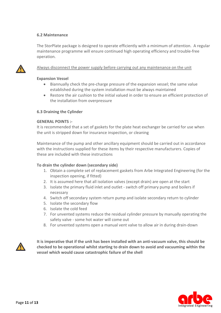#### **6.2 Maintenance**

The StorPlate package is designed to operate efficiently with a minimum of attention. A regular maintenance programme will ensure continued high operating efficiency and trouble-free operation.



#### Always disconnect the power supply before carrying out any maintenance on the unit

#### **Expansion Vessel**

- Biannually check the pre-charge pressure of the expansion vessel; the same value established during the system installation must be always maintained
- Restore the air cushion to the initial valued in order to ensure an efficient protection of the installation from overpressure

#### **6.3 Draining the Cylinder**

#### **GENERAL POINTS :-**

It is recommended that a set of gaskets for the plate heat exchanger be carried for use when the unit is stripped down for insurance inspection, or cleaning

Maintenance of the pump and other ancillary equipment should be carried out in accordance with the instructions supplied for these items by their respective manufacturers. Copies of these are included with these instructions

#### **To drain the cylinder down (secondary side)**

- 1. Obtain a complete set of replacement gaskets from Arbe Integrated Engineering (for the inspection opening, if fitted)
- 2. It is assumed here that all isolation valves (except drain) are open at the start
- 3. Isolate the primary fluid inlet and outlet switch off primary pump and boilers if necessary
- 4. Switch off secondary system return pump and isolate secondary return to cylinder
- 5. Isolate the secondary flow
- 6. Isolate the cold feed
- 7. For unvented systems reduce the residual cylinder pressure by manually operating the safety valve - some hot water will come out
- 8. For unvented systems open a manual vent valve to allow air in during drain-down



**It is imperative that if the unit has been installed with an anti-vacuum valve, this should be checked to be operational whilst starting to drain down to avoid and vacuuming within the vessel which would cause catastrophic failure of the shell**

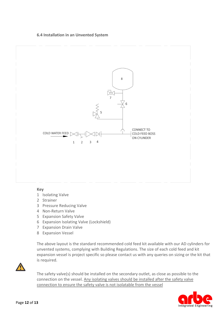#### **6.4 Installation in an Unvented System**



#### **Key**

- 1 Isolating Valve
- 2 Strainer
- 3 Pressure Reducing Valve
- 4 Non-Return Valve
- 5 Expansion Safety Valve
- 6 Expansion Isolating Valve (Lockshield)
- 7 Expansion Drain Valve
- 8 Expansion Vessel

The above layout is the standard recommended cold feed kit available with our AD cylinders for unvented systems, complying with Building Regulations. The size of each cold feed and kit expansion vessel is project specific so please contact us with any queries on sizing or the kit that is required.



The safety valve(s) should be installed on the secondary outlet, as close as possible to the connection on the vessel. Any isolating valves should be installed after the safety valve connection to ensure the safety valve is not isolatable from the vessel